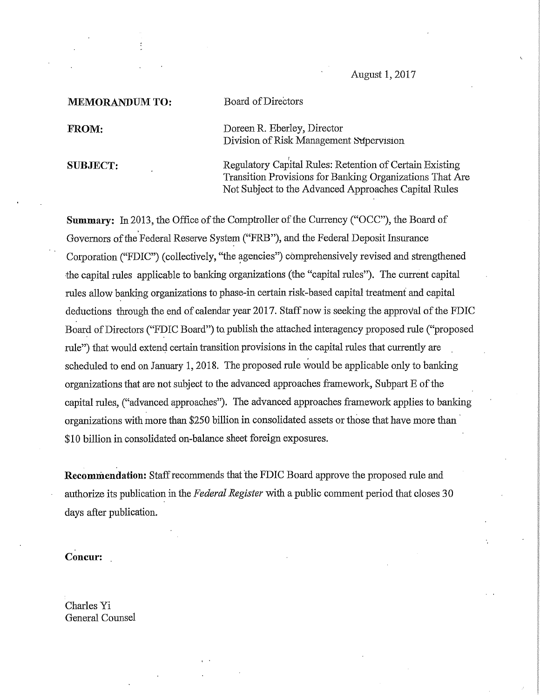August 1, 2017

MEMORANDUM TO: Board of Directors

FROM: Doreen R. Eberley, Director Division of Risk Management Supervision

SUBJECT: Regulatory Capital Rules: Retention of Certain Existing Transition Provisions for Banking Organizations That Are Not Subject to the Advanced Approaches Capital Rules

Summary: In 2013, the Office of the Comptroller of the Currency ("OCC"), the Board of Governors of the Federal Reserve System ("FRB"), and the Federal Deposit Insurance Corporation ("FDIC") (collectively, "the agencies") comprehensively revised and strengthened the capital rules applicable to banking organizations (the "capital rules"). The current capital rules allow banking organizations to phase-in certain risk-based capital treatment and capital deductions through the end of calendar year 2017. Staff now is seeking the approval of the FDIC Board of Directors ("FDIC Board") to. publish the attached intexagency proposed rule ("proposed rule") that would extend certain transition provisions in the capital rules that currently are scheduled to end on January 1, 2018. The proposed rule would be applicable only to banking organizations that are not subject to the advanced approaches framework, Subpart E of the capital rules, ("advanced approaches"). The advanced approaches framework applies to banking organizations with more than \$250 billion in consolidated assets or those that have more than \$10 billion in consolidated on-balance sheet foreign exposures.

Recommendation: Staff recommends that the FDIC Board approve the proposed rule and authorize its publication in the Federal Register with a public comment period that closes 30 days after publication.

Concur:

Charles Yi General Counsel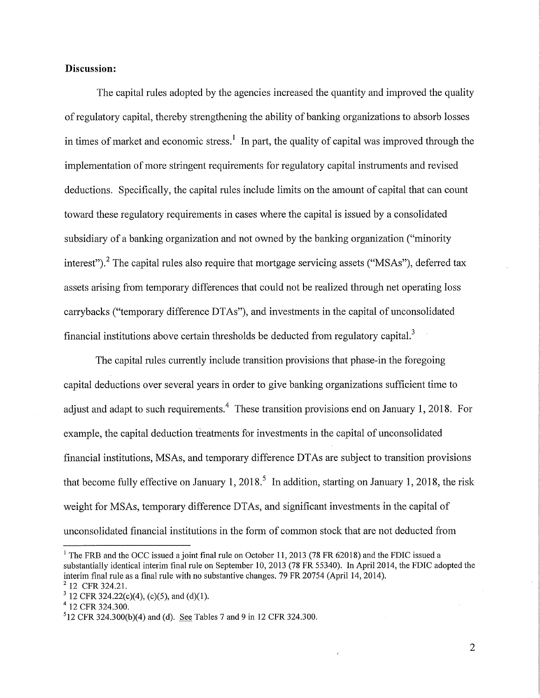## Discussion:

The capital rules adopted by the agencies increased the quantity and improved the quality of regulatory capital, thereby strengthening the ability of banking organizations to absorb losses in times of market and economic stress.<sup>1</sup> In part, the quality of capital was improved through the implementation of more stringent requirements for regulatory capital instruments and revised deductions. Specifically, the capital rules include limits on the amount of capital that can count toward these regulatory requirements in cases where the capital is issued by a consolidated subsidiary of a banking organization and not owned by the banking organization ("minority interest").<sup>2</sup> The capital rules also require that mortgage servicing assets ("MSAs"), deferred tax assets arising from temporary differences that could not be realized through net operating loss carrybacks ("temporary difference DTAs"), and investments in the capital of unconsolidated financial institutions above certain thresholds be deducted from regulatory capital.<sup>3</sup>

The capital rules currently include transition provisions that phase-in the foregoing capital deductions over several years in order to give banking organizations sufficient time to adjust and adapt to such requirements.<sup>4</sup> These transition provisions end on January 1, 2018. For example, the capital deduction treatments for investments in the capital of unconsolidated financial institutions, MSAs, and temporary difference DTAs are subject to transition provisions that become fully effective on January 1, 2018.<sup>5</sup> In addition, starting on January 1, 2018, the risk weight for MSAs, temporary difference DTAs, and significant investments in the capital of unconsolidated financial institutions in the form of common stock that are not deducted from

 $\overline{2}$ 

<sup>&</sup>lt;sup>1</sup> The FRB and the OCC issued a joint final rule on October 11, 2013 (78 FR 62018) and the FDIC issued a substantially identical interim final rule on September 10, 2013 (78 FR 55340). In Apri12014, the FDIC adopted the interim final rule as a final rule with no substantive changes. 79 FR 20754 (April 14, 2014).

 $^{2}$  12 CFR 324.21.

<sup>&</sup>lt;sup>3</sup> 12 CFR 324.22(c)(4), (c)(5), and (d)(1).

<sup>4 12</sup> CFR 324.300.

 $512$  CFR 324.300(b)(4) and (d). See Tables 7 and 9 in 12 CFR 324.300.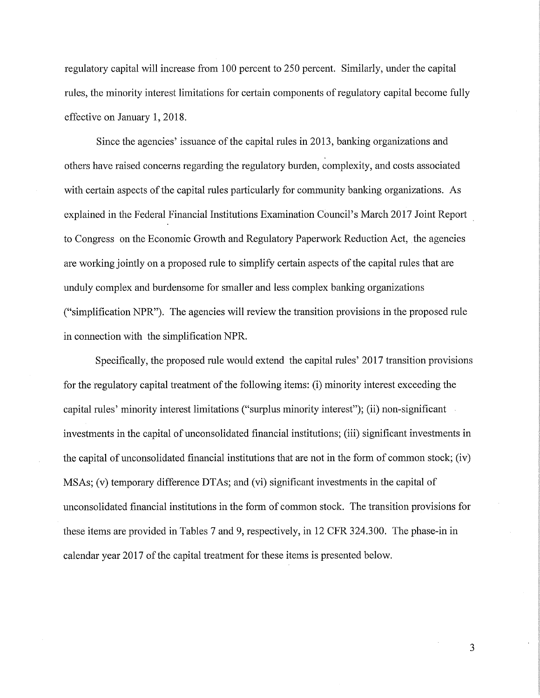regulatory capital will increase from 100 percent to 250 percent. Similarly, under the capital rules, the minority interest limitations for certain components of regulatory capital become fully effective on January 1, 2018.

Since the agencies' issuance of the capital rules in 2013, banking organizations and others have raised concerns regarding the regulatory burden, complexity, and costs associated with certain aspects of the capital rules particularly for community banking organizations. As explained in the Federal Financial Institutions Examination Council's March 2017 Joint Report to Congress on the Economic Growth and Regulatory Paperwork Reduction Act, the agencies are working jointly on a proposed rule to simplify certain aspects of the capital rules that are unduly complex and burdensome for smaller and less complex banking organizations ("simplification NPR"). The agencies will review the transition provisions in the proposed rule in connection with the simplification NPR.

Specifically, the proposed rule would extend the capital rules' 2017 transition provisions for the regulatory capital treatment of the following items: (i) minority interest exceeding the capital rules' minority interest limitations ("surplus minority interest"); (ii) non-significant investments in the capital of unconsolidated financial institutions; (iii) significant investments in the capital of unconsolidated financial institutions that are not in the form of common stock; (iv) MSAs; (v) temporary difference DTAs; and (vi) significant investments in the capital of unconsolidated financial institutions in the form of common stock. The transition provisions for these items are provided in Tables 7 and 9, respectively, in 12 CFR 324.300. The phase-in in calendar year 2017 of the capital treatment for these items is presented below.

3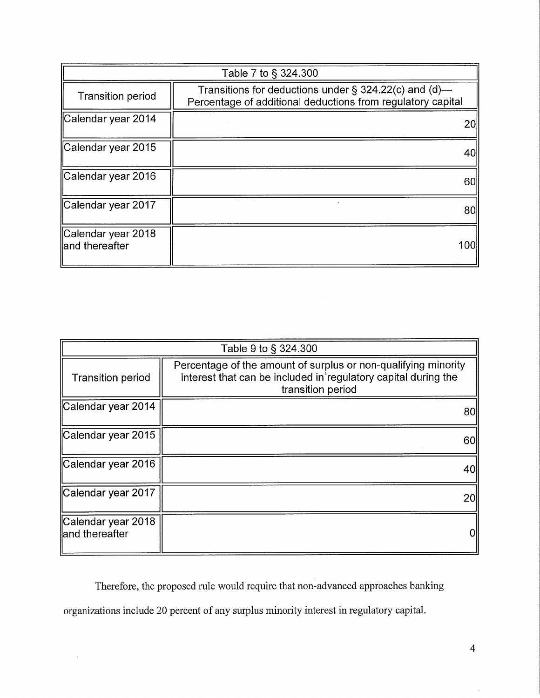| Table 7 to § 324.300                  |                                                                                                                         |  |
|---------------------------------------|-------------------------------------------------------------------------------------------------------------------------|--|
| <b>Transition period</b>              | Transitions for deductions under $\S$ 324.22(c) and (d)—<br>Percentage of additional deductions from regulatory capital |  |
| Calendar year 2014                    | 20                                                                                                                      |  |
| Calendar year 2015                    | 40                                                                                                                      |  |
| Calendar year 2016                    | 60                                                                                                                      |  |
| Calendar year 2017                    | 80                                                                                                                      |  |
| Calendar year 2018<br>land thereafter | 100                                                                                                                     |  |

| Table 9 to § 324.300                  |                                                                                                                                                       |  |
|---------------------------------------|-------------------------------------------------------------------------------------------------------------------------------------------------------|--|
| <b>Transition period</b>              | Percentage of the amount of surplus or non-qualifying minority<br>interest that can be included in regulatory capital during the<br>transition period |  |
| Calendar year 2014                    | 80l                                                                                                                                                   |  |
| Calendar year 2015                    | 60l                                                                                                                                                   |  |
| Calendar year 2016                    | 40                                                                                                                                                    |  |
| Calendar year 2017                    | <b>20l</b>                                                                                                                                            |  |
| Calendar year 2018<br>land thereafter |                                                                                                                                                       |  |

Therefore, the proposed rule would require that non-advanced approaches banking organizations include 20 percent of any surplus minority interest in regulatory capital.

 $\hat{\boldsymbol{\alpha}}$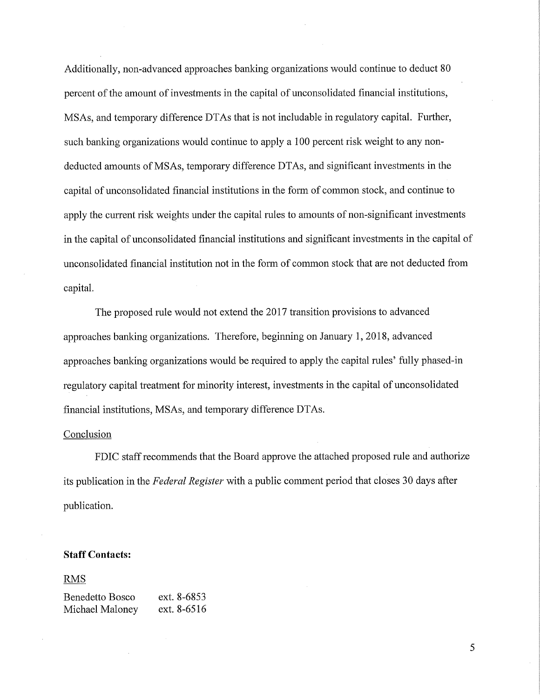Additionally, non-advanced approaches banking organizations would continue to deduct 80 percent of the amount of investments in the capital of unconsolidated financial institutions, MSAs, and temporary difference DTAs that is not includable in regulatory capital. Further, such banking organizations would continue to apply a 100 percent risk weight to any nondeducted amounts of MSAs, temporary difference DTAs, and significant investments in the capital of unconsolidated financial institutions in the form of common stock, and continue to apply the current risk weights under the capital rules to amounts of non-significant investments in the capital of unconsolidated financial institutions and significant investments in the capital of unconsolidated financial institution not in the form of common stock that are not deducted from capital.

The proposed rule would not extend the 2017 transition provisions to advanced approaches banking organizations. Therefore, beginning on January 1, 2018, advanced approaches banking organizations would be required to apply the capital rules' fully phased-in regulatory capital treatment for minority interest, investments in the capital of unconsolidated financial institutions, MSAs, and temporary difference DTAs.

## Conclusion

FDIC staff recommends that the Board approve the attached proposed rule and authorize its publication in the Federal Register with a public comment period that closes 30 days after publication.

## Staff Contacts:

## RMS

Benedetto Bosco ext. 8-6853 Michael Maloney ext. 8-6516

5